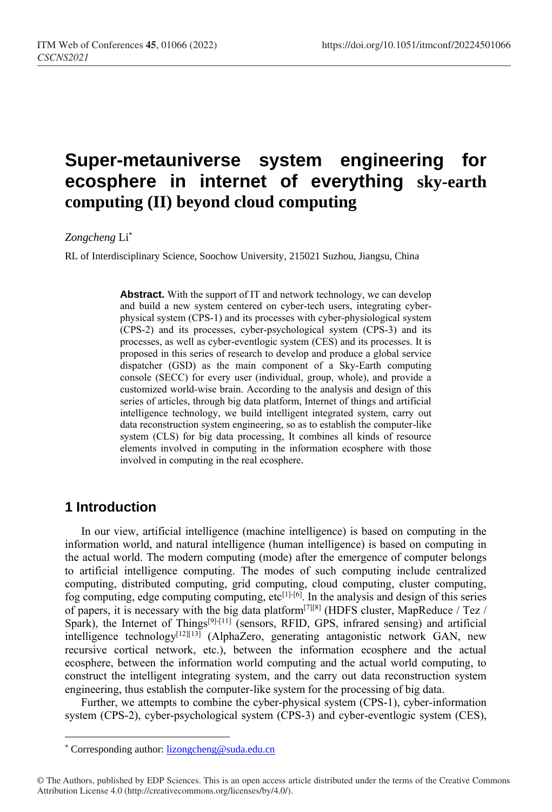# **Super-metauniverse system engineering for ecosphere in internet of everything sky-earth computing (II) beyond cloud computing**

#### *Zongcheng* Li\*

RL of Interdisciplinary Science, Soochow University, 215021 Suzhou, Jiangsu, China

**Abstract.** With the support of IT and network technology, we can develop and build a new system centered on cyber-tech users, integrating cyberphysical system (CPS-1) and its processes with cyber-physiological system (CPS-2) and its processes, cyber-psychological system (CPS-3) and its processes, as well as cyber-eventlogic system (CES) and its processes. It is proposed in this series of research to develop and produce a global service dispatcher (GSD) as the main component of a Sky-Earth computing console (SECC) for every user (individual, group, whole), and provide a customized world-wise brain. According to the analysis and design of this series of articles, through big data platform, Internet of things and artificial intelligence technology, we build intelligent integrated system, carry out data reconstruction system engineering, so as to establish the computer-like system (CLS) for big data processing, It combines all kinds of resource elements involved in computing in the information ecosphere with those involved in computing in the real ecosphere.

### **1 Introduction**

 $\overline{a}$ 

In our view, artificial intelligence (machine intelligence) is based on computing in the information world, and natural intelligence (human intelligence) is based on computing in the actual world. The modern computing (mode) after the emergence of computer belongs to artificial intelligence computing. The modes of such computing include centralized computing, distributed computing, grid computing, cloud computing, cluster computing, fog computing, edge computing computing,  $etc^{[1]\cdot[6]}$ . In the analysis and design of this series of papers, it is necessary with the big data platform<sup>[7][8]</sup> (HDFS cluster, MapReduce / Tez / Spark), the Internet of Things<sup>[9]-[11]</sup> (sensors, RFID, GPS, infrared sensing) and artificial intelligence technology $[12][13]$  (AlphaZero, generating antagonistic network GAN, new recursive cortical network, etc.), between the information ecosphere and the actual ecosphere, between the information world computing and the actual world computing, to construct the intelligent integrating system, and the carry out data reconstruction system engineering, thus establish the computer-like system for the processing of big data.

Further, we attempts to combine the cyber-physical system (CPS-1), cyber-information system (CPS-2), cyber-psychological system (CPS-3) and cyber-eventlogic system (CES),

<sup>\*</sup> Corresponding author[: lizongcheng@suda.edu.cn](mailto:lizongcheng@suda.edu.cn)

<sup>©</sup> The Authors, published by EDP Sciences. This is an open access article distributed under the terms of the Creative Commons Attribution License 4.0 (http://creativecommons.org/licenses/by/4.0/).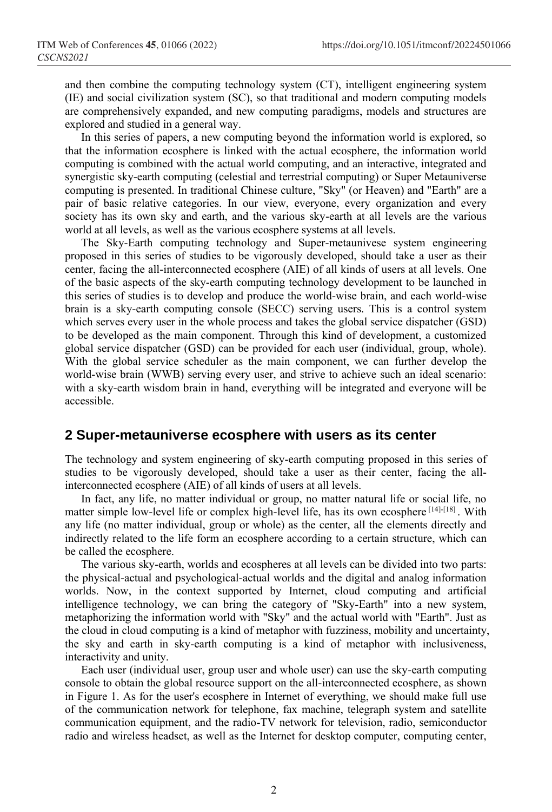and then combine the computing technology system (CT), intelligent engineering system (IE) and social civilization system (SC), so that traditional and modern computing models are comprehensively expanded, and new computing paradigms, models and structures are explored and studied in a general way.

In this series of papers, a new computing beyond the information world is explored, so that the information ecosphere is linked with the actual ecosphere, the information world computing is combined with the actual world computing, and an interactive, integrated and synergistic sky-earth computing (celestial and terrestrial computing) or Super Metauniverse computing is presented. In traditional Chinese culture, "Sky" (or Heaven) and "Earth" are a pair of basic relative categories. In our view, everyone, every organization and every society has its own sky and earth, and the various sky-earth at all levels are the various world at all levels, as well as the various ecosphere systems at all levels.

The Sky-Earth computing technology and Super-metaunivese system engineering proposed in this series of studies to be vigorously developed, should take a user as their center, facing the all-interconnected ecosphere (AIE) of all kinds of users at all levels. One of the basic aspects of the sky-earth computing technology development to be launched in this series of studies is to develop and produce the world-wise brain, and each world-wise brain is a sky-earth computing console (SECC) serving users. This is a control system which serves every user in the whole process and takes the global service dispatcher (GSD) to be developed as the main component. Through this kind of development, a customized global service dispatcher (GSD) can be provided for each user (individual, group, whole). With the global service scheduler as the main component, we can further develop the world-wise brain (WWB) serving every user, and strive to achieve such an ideal scenario: with a sky-earth wisdom brain in hand, everything will be integrated and everyone will be accessible.

#### **2 Super-metauniverse ecosphere with users as its center**

The technology and system engineering of sky-earth computing proposed in this series of studies to be vigorously developed, should take a user as their center, facing the allinterconnected ecosphere (AIE) of all kinds of users at all levels.

In fact, any life, no matter individual or group, no matter natural life or social life, no matter simple low-level life or complex high-level life, has its own ecosphere [14]-[18]. With any life (no matter individual, group or whole) as the center, all the elements directly and indirectly related to the life form an ecosphere according to a certain structure, which can be called the ecosphere.

The various sky-earth, worlds and ecospheres at all levels can be divided into two parts: the physical-actual and psychological-actual worlds and the digital and analog information worlds. Now, in the context supported by Internet, cloud computing and artificial intelligence technology, we can bring the category of "Sky-Earth" into a new system, metaphorizing the information world with "Sky" and the actual world with "Earth". Just as the cloud in cloud computing is a kind of metaphor with fuzziness, mobility and uncertainty, the sky and earth in sky-earth computing is a kind of metaphor with inclusiveness, interactivity and unity.

Each user (individual user, group user and whole user) can use the sky-earth computing console to obtain the global resource support on the all-interconnected ecosphere, as shown in Figure 1. As for the user's ecosphere in Internet of everything, we should make full use of the communication network for telephone, fax machine, telegraph system and satellite communication equipment, and the radio-TV network for television, radio, semiconductor radio and wireless headset, as well as the Internet for desktop computer, computing center,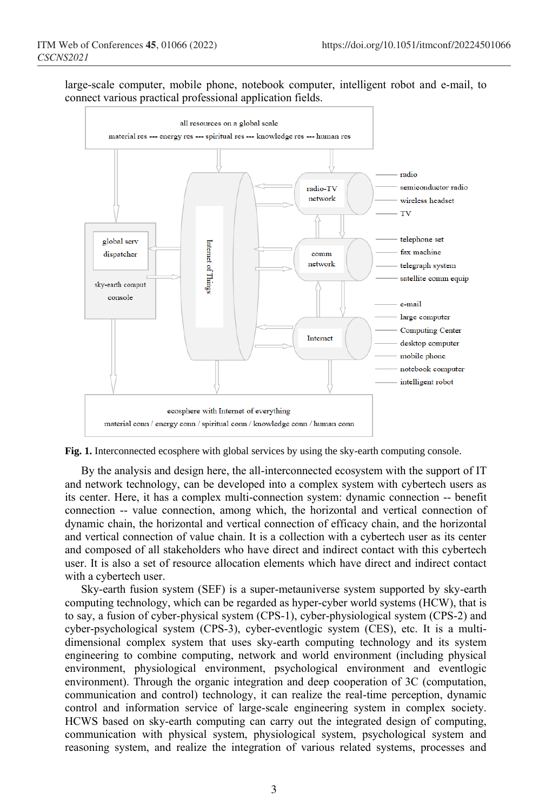large-scale computer, mobile phone, notebook computer, intelligent robot and e-mail, to connect various practical professional application fields.



**Fig. 1.** Interconnected ecosphere with global services by using the sky-earth computing console.

By the analysis and design here, the all-interconnected ecosystem with the support of IT and network technology, can be developed into a complex system with cybertech users as its center. Here, it has a complex multi-connection system: dynamic connection -- benefit connection -- value connection, among which, the horizontal and vertical connection of dynamic chain, the horizontal and vertical connection of efficacy chain, and the horizontal and vertical connection of value chain. It is a collection with a cybertech user as its center and composed of all stakeholders who have direct and indirect contact with this cybertech user. It is also a set of resource allocation elements which have direct and indirect contact with a cybertech user.

Sky-earth fusion system (SEF) is a super-metauniverse system supported by sky-earth computing technology, which can be regarded as hyper-cyber world systems (HCW), that is to say, a fusion of cyber-physical system (CPS-1), cyber-physiological system (CPS-2) and cyber-psychological system (CPS-3), cyber-eventlogic system (CES), etc. It is a multidimensional complex system that uses sky-earth computing technology and its system engineering to combine computing, network and world environment (including physical environment, physiological environment, psychological environment and eventlogic environment). Through the organic integration and deep cooperation of 3C (computation, communication and control) technology, it can realize the real-time perception, dynamic control and information service of large-scale engineering system in complex society. HCWS based on sky-earth computing can carry out the integrated design of computing, communication with physical system, physiological system, psychological system and reasoning system, and realize the integration of various related systems, processes and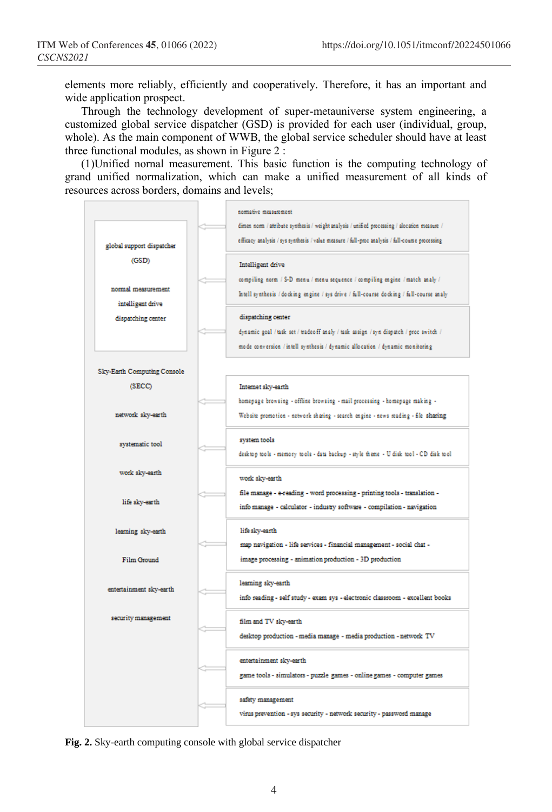elements more reliably, efficiently and cooperatively. Therefore, it has an important and wide application prospect.

Through the technology development of super-metauniverse system engineering, a customized global service dispatcher (GSD) is provided for each user (individual, group, whole). As the main component of WWB, the global service scheduler should have at least three functional modules, as shown in Figure 2 :

(1)Unified nornal measurement. This basic function is the computing technology of grand unified normalization, which can make a unified measurement of all kinds of resources across borders, domains and levels;



**Fig. 2.** Sky-earth computing console with global service dispatcher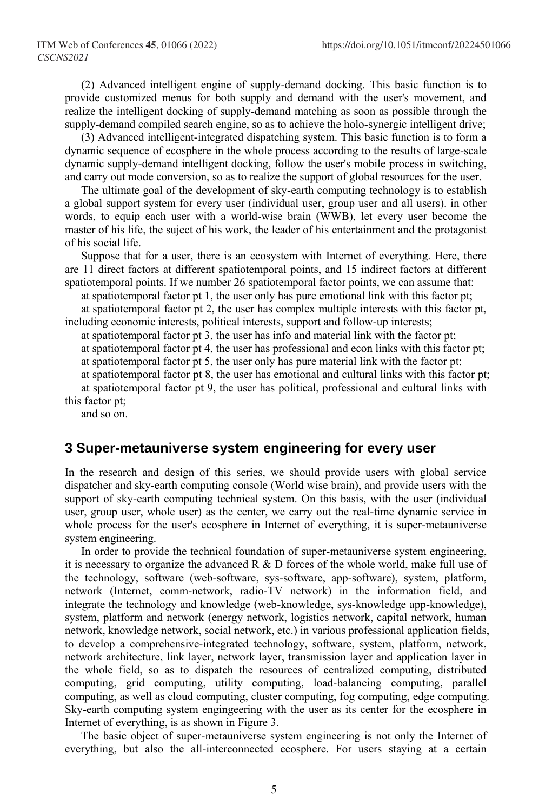(2) Advanced intelligent engine of supply-demand docking. This basic function is to provide customized menus for both supply and demand with the user's movement, and realize the intelligent docking of supply-demand matching as soon as possible through the supply-demand compiled search engine, so as to achieve the holo-synergic intelligent drive;

(3) Advanced intelligent-integrated dispatching system. This basic function is to form a dynamic sequence of ecosphere in the whole process according to the results of large-scale dynamic supply-demand intelligent docking, follow the user's mobile process in switching, and carry out mode conversion, so as to realize the support of global resources for the user.

The ultimate goal of the development of sky-earth computing technology is to establish a global support system for every user (individual user, group user and all users). in other words, to equip each user with a world-wise brain (WWB), let every user become the master of his life, the suject of his work, the leader of his entertainment and the protagonist of his social life.

Suppose that for a user, there is an ecosystem with Internet of everything. Here, there are 11 direct factors at different spatiotemporal points, and 15 indirect factors at different spatiotemporal points. If we number 26 spatiotemporal factor points, we can assume that:

at spatiotemporal factor pt 1, the user only has pure emotional link with this factor pt;

at spatiotemporal factor pt 2, the user has complex multiple interests with this factor pt, including economic interests, political interests, support and follow-up interests;

at spatiotemporal factor pt 3, the user has info and material link with the factor pt;

at spatiotemporal factor pt 4, the user has professional and econ links with this factor pt;

at spatiotemporal factor pt 5, the user only has pure material link with the factor pt;

at spatiotemporal factor pt 8, the user has emotional and cultural links with this factor pt;

at spatiotemporal factor pt 9, the user has political, professional and cultural links with this factor pt;

and so on.

#### **3 Super-metauniverse system engineering for every user**

In the research and design of this series, we should provide users with global service dispatcher and sky-earth computing console (World wise brain), and provide users with the support of sky-earth computing technical system. On this basis, with the user (individual user, group user, whole user) as the center, we carry out the real-time dynamic service in whole process for the user's ecosphere in Internet of everything, it is super-metauniverse system engineering.

In order to provide the technical foundation of super-metauniverse system engineering, it is necessary to organize the advanced  $R \& D$  forces of the whole world, make full use of the technology, software (web-software, sys-software, app-software), system, platform, network (Internet, comm-network, radio-TV network) in the information field, and integrate the technology and knowledge (web-knowledge, sys-knowledge app-knowledge), system, platform and network (energy network, logistics network, capital network, human network, knowledge network, social network, etc.) in various professional application fields, to develop a comprehensive-integrated technology, software, system, platform, network, network architecture, link layer, network layer, transmission layer and application layer in the whole field, so as to dispatch the resources of centralized computing, distributed computing, grid computing, utility computing, load-balancing computing, parallel computing, as well as cloud computing, cluster computing, fog computing, edge computing. Sky-earth computing system engingeering with the user as its center for the ecosphere in Internet of everything, is as shown in Figure 3.

The basic object of super-metauniverse system engineering is not only the Internet of everything, but also the all-interconnected ecosphere. For users staying at a certain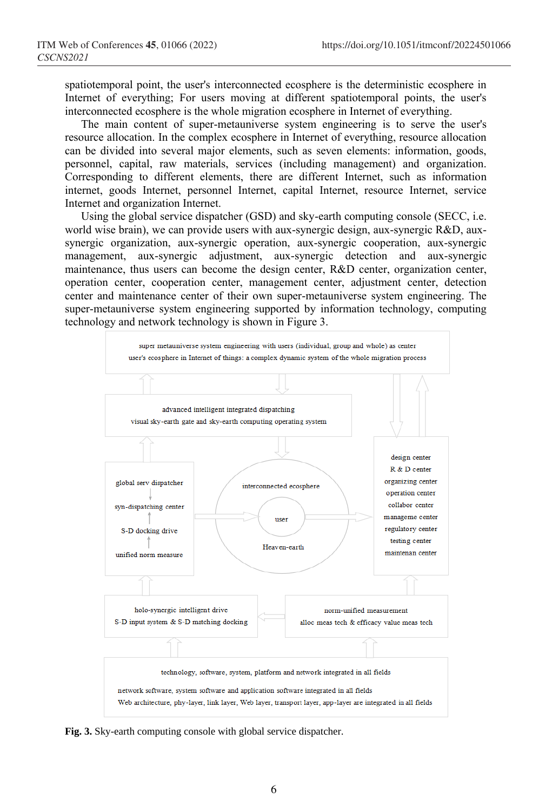spatiotemporal point, the user's interconnected ecosphere is the deterministic ecosphere in Internet of everything; For users moving at different spatiotemporal points, the user's interconnected ecosphere is the whole migration ecosphere in Internet of everything.

The main content of super-metauniverse system engineering is to serve the user's resource allocation. In the complex ecosphere in Internet of everything, resource allocation can be divided into several major elements, such as seven elements: information, goods, personnel, capital, raw materials, services (including management) and organization. Corresponding to different elements, there are different Internet, such as information internet, goods Internet, personnel Internet, capital Internet, resource Internet, service Internet and organization Internet.

Using the global service dispatcher (GSD) and sky-earth computing console (SECC, i.e. world wise brain), we can provide users with aux-synergic design, aux-synergic R&D, auxsynergic organization, aux-synergic operation, aux-synergic cooperation, aux-synergic management, aux-synergic adjustment, aux-synergic detection and aux-synergic maintenance, thus users can become the design center, R&D center, organization center, operation center, cooperation center, management center, adjustment center, detection center and maintenance center of their own super-metauniverse system engineering. The super-metauniverse system engineering supported by information technology, computing technology and network technology is shown in Figure 3.



**Fig. 3.** Sky-earth computing console with global service dispatcher.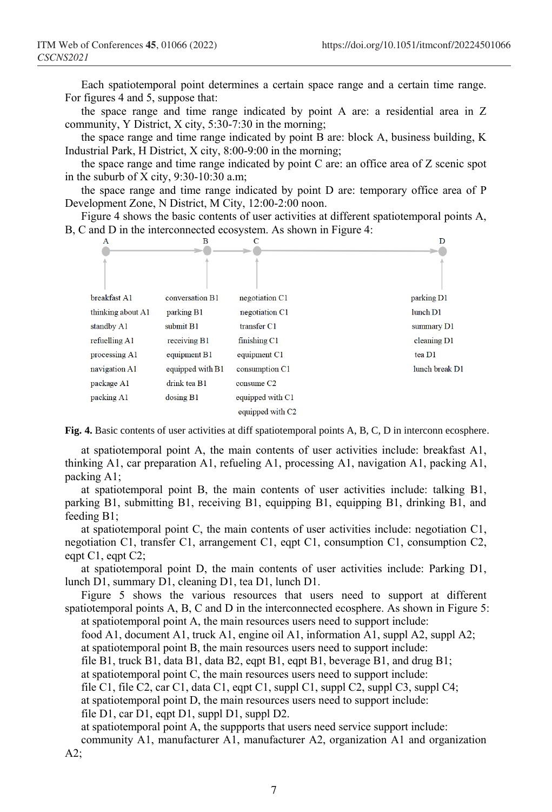Each spatiotemporal point determines a certain space range and a certain time range. For figures 4 and 5, suppose that:

the space range and time range indicated by point A are: a residential area in Z community, Y District, X city, 5:30-7:30 in the morning;

the space range and time range indicated by point B are: block A, business building, K Industrial Park, H District, X city, 8:00-9:00 in the morning;

the space range and time range indicated by point C are: an office area of Z scenic spot in the suburb of X city,  $9:30-10:30$  a.m;

the space range and time range indicated by point D are: temporary office area of P Development Zone, N District, M City, 12:00-2:00 noon.

Figure 4 shows the basic contents of user activities at different spatiotemporal points A, B, C and D in the interconnected ecosystem. As shown in Figure 4:



**Fig. 4.** Basic contents of user activities at diff spatiotemporal points A, B, C, D in interconn ecosphere.

at spatiotemporal point A, the main contents of user activities include: breakfast A1, thinking A1, car preparation A1, refueling A1, processing A1, navigation A1, packing A1, packing A1;

at spatiotemporal point B, the main contents of user activities include: talking B1, parking B1, submitting B1, receiving B1, equipping B1, equipping B1, drinking B1, and feeding B1;

at spatiotemporal point C, the main contents of user activities include: negotiation C1, negotiation C1, transfer C1, arrangement C1, eqpt C1, consumption C1, consumption C2, eqpt C1, eqpt C2;

at spatiotemporal point D, the main contents of user activities include: Parking D1, lunch D1, summary D1, cleaning D1, tea D1, lunch D1.

Figure 5 shows the various resources that users need to support at different spatiotemporal points A, B, C and D in the interconnected ecosphere. As shown in Figure 5: at spatiotemporal point A, the main resources users need to support include:

food A1, document A1, truck A1, engine oil A1, information A1, suppl A2, suppl A2; at spatiotemporal point B, the main resources users need to support include:

file B1, truck B1, data B1, data B2, eqpt B1, eqpt B1, beverage B1, and drug B1;

at spatiotemporal point C, the main resources users need to support include:

file C1, file C2, car C1, data C1, eqpt C1, suppl C1, suppl C2, suppl C3, suppl C4; at spatiotemporal point D, the main resources users need to support include:

file D1, car D1, eqpt D1, suppl D1, suppl D2.

at spatiotemporal point A, the suppports that users need service support include: community A1, manufacturer A1, manufacturer A2, organization A1 and organization  $A2$ ;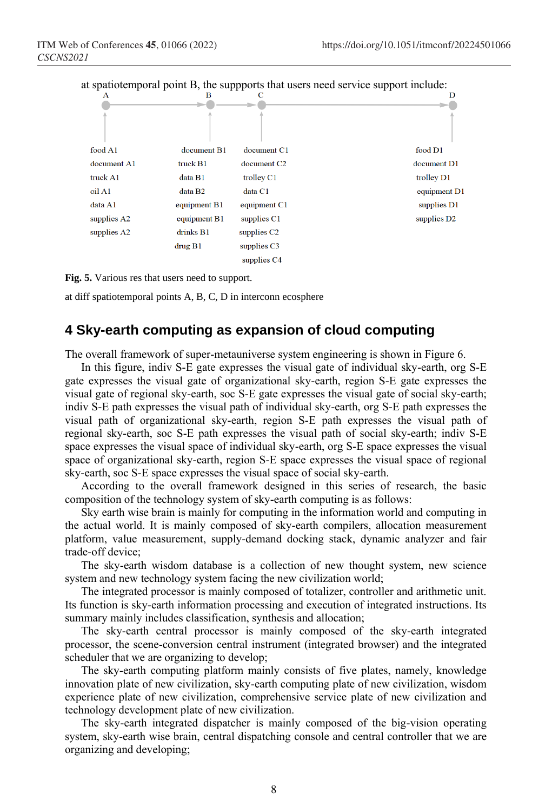

**Fig. 5.** Various res that users need to support.

at diff spatiotemporal points A, B, C, D in interconn ecosphere

#### **4 Sky-earth computing as expansion of cloud computing**

The overall framework of super-metauniverse system engineering is shown in Figure 6.

In this figure, indiv S-E gate expresses the visual gate of individual sky-earth, org S-E gate expresses the visual gate of organizational sky-earth, region S-E gate expresses the visual gate of regional sky-earth, soc S-E gate expresses the visual gate of social sky-earth; indiv S-E path expresses the visual path of individual sky-earth, org S-E path expresses the visual path of organizational sky-earth, region S-E path expresses the visual path of regional sky-earth, soc S-E path expresses the visual path of social sky-earth; indiv S-E space expresses the visual space of individual sky-earth, org S-E space expresses the visual space of organizational sky-earth, region S-E space expresses the visual space of regional sky-earth, soc S-E space expresses the visual space of social sky-earth.

According to the overall framework designed in this series of research, the basic composition of the technology system of sky-earth computing is as follows:

Sky earth wise brain is mainly for computing in the information world and computing in the actual world. It is mainly composed of sky-earth compilers, allocation measurement platform, value measurement, supply-demand docking stack, dynamic analyzer and fair trade-off device;

The sky-earth wisdom database is a collection of new thought system, new science system and new technology system facing the new civilization world;

The integrated processor is mainly composed of totalizer, controller and arithmetic unit. Its function is sky-earth information processing and execution of integrated instructions. Its summary mainly includes classification, synthesis and allocation;

The sky-earth central processor is mainly composed of the sky-earth integrated processor, the scene-conversion central instrument (integrated browser) and the integrated scheduler that we are organizing to develop;

The sky-earth computing platform mainly consists of five plates, namely, knowledge innovation plate of new civilization, sky-earth computing plate of new civilization, wisdom experience plate of new civilization, comprehensive service plate of new civilization and technology development plate of new civilization.

The sky-earth integrated dispatcher is mainly composed of the big-vision operating system, sky-earth wise brain, central dispatching console and central controller that we are organizing and developing;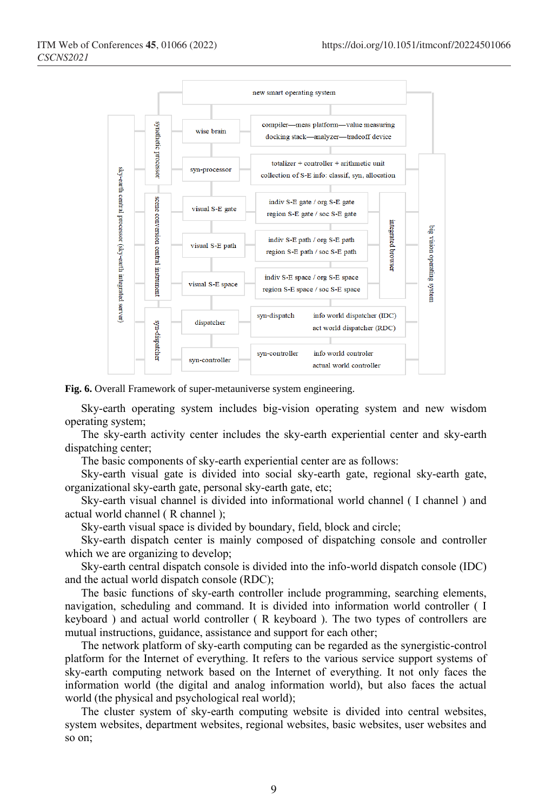

**Fig. 6.** Overall Framework of super-metauniverse system engineering.

Sky-earth operating system includes big-vision operating system and new wisdom operating system;

The sky-earth activity center includes the sky-earth experiential center and sky-earth dispatching center;

The basic components of sky-earth experiential center are as follows:

Sky-earth visual gate is divided into social sky-earth gate, regional sky-earth gate, organizational sky-earth gate, personal sky-earth gate, etc;

Sky-earth visual channel is divided into informational world channel ( I channel ) and actual world channel ( R channel );

Sky-earth visual space is divided by boundary, field, block and circle;

Sky-earth dispatch center is mainly composed of dispatching console and controller which we are organizing to develop;

Sky-earth central dispatch console is divided into the info-world dispatch console (IDC) and the actual world dispatch console (RDC);

The basic functions of sky-earth controller include programming, searching elements, navigation, scheduling and command. It is divided into information world controller ( I keyboard ) and actual world controller ( R keyboard ). The two types of controllers are mutual instructions, guidance, assistance and support for each other;

The network platform of sky-earth computing can be regarded as the synergistic-control platform for the Internet of everything. It refers to the various service support systems of sky-earth computing network based on the Internet of everything. It not only faces the information world (the digital and analog information world), but also faces the actual world (the physical and psychological real world);

The cluster system of sky-earth computing website is divided into central websites, system websites, department websites, regional websites, basic websites, user websites and so on;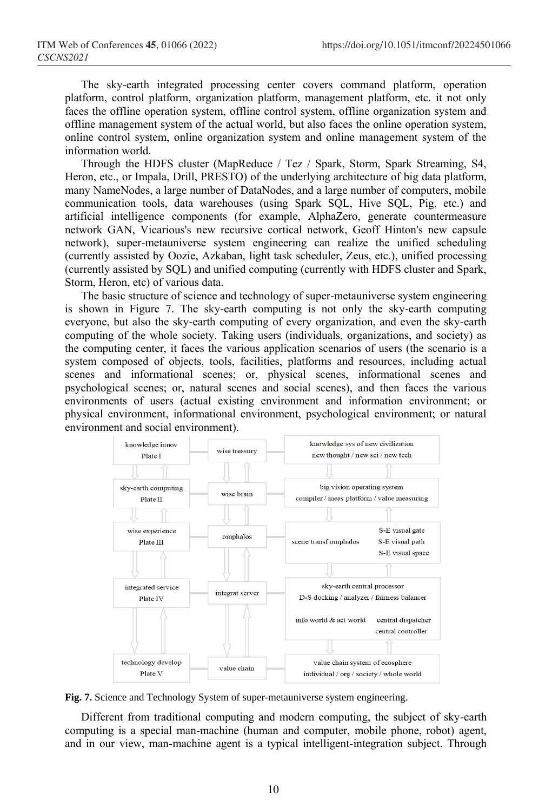The sky-earth integrated processing center covers command platform, operation platform, control platform, organization platform, management platform, etc. it not only faces the offline operation system, offline control system, offline organization system and offline management system of the actual world, but also faces the online operation system, online control system, online organization system and online management system of the information world.

Through the HDFS cluster (MapReduce / Tez / Spark, Storm, Spark Streaming, S4, Heron, etc., or Impala, Drill, PRESTO) of the underlying architecture of big data platform, many NameNodes, a large number of DataNodes, and a large number of computers, mobile communication tools, data warehouses (using Spark SQL, Hive SQL, Pig, etc.) and artificial intelligence components (for example, AlphaZero, generate countermeasure network GAN, Vicarious's new recursive cortical network, Geoff Hinton's new capsule network), super-metauniverse system engineering can realize the unified scheduling (currently assisted by Oozie, Azkaban, light task scheduler, Zeus, etc.), unified processing (currently assisted by SQL) and unified computing (currently with HDFS cluster and Spark, Storm, Heron, etc) of various data.

The basic structure of science and technology of super-metauniverse system engineering is shown in Figure 7. The sky-earth computing is not only the sky-earth computing everyone, but also the sky-earth computing of every organization, and even the sky-earth computing of the whole society. Taking users (individuals, organizations, and society) as the computing center, it faces the various application scenarios of users (the scenario is a system composed of objects, tools, facilities, platforms and resources, including actual scenes and informational scenes; or, physical scenes, informational scenes and psychological scenes; or, natural scenes and social scenes), and then faces the various environments of users (actual existing environment and information environment; or physical environment, informational environment, psychological environment; or natural environment and social environment).



**Fig. 7.** Science and Technology System of super-metauniverse system engineering.

Different from traditional computing and modern computing, the subject of sky-earth computing is a special man-machine (human and computer, mobile phone, robot) agent, and in our view, man-machine agent is a typical intelligent-integration subject. Through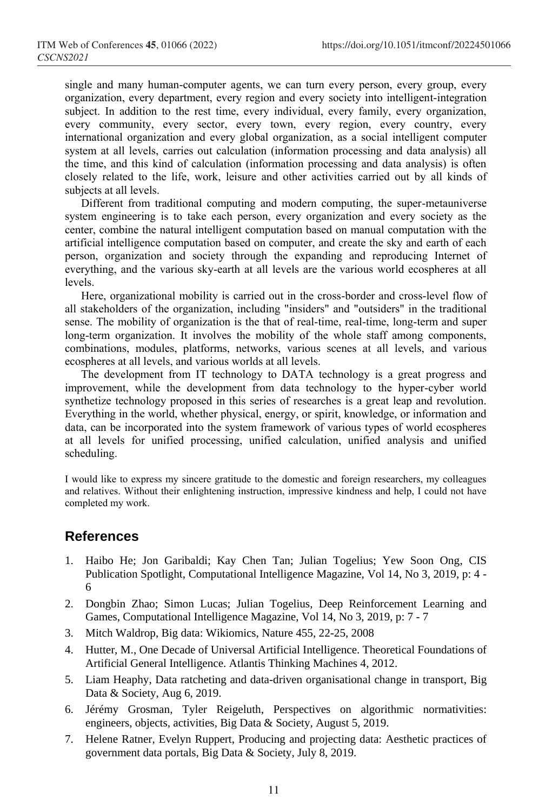single and many human-computer agents, we can turn every person, every group, every organization, every department, every region and every society into intelligent-integration subject. In addition to the rest time, every individual, every family, every organization, every community, every sector, every town, every region, every country, every international organization and every global organization, as a social intelligent computer system at all levels, carries out calculation (information processing and data analysis) all the time, and this kind of calculation (information processing and data analysis) is often closely related to the life, work, leisure and other activities carried out by all kinds of subjects at all levels.

Different from traditional computing and modern computing, the super-metauniverse system engineering is to take each person, every organization and every society as the center, combine the natural intelligent computation based on manual computation with the artificial intelligence computation based on computer, and create the sky and earth of each person, organization and society through the expanding and reproducing Internet of everything, and the various sky-earth at all levels are the various world ecospheres at all levels.

Here, organizational mobility is carried out in the cross-border and cross-level flow of all stakeholders of the organization, including "insiders" and "outsiders" in the traditional sense. The mobility of organization is the that of real-time, real-time, long-term and super long-term organization. It involves the mobility of the whole staff among components, combinations, modules, platforms, networks, various scenes at all levels, and various ecospheres at all levels, and various worlds at all levels.

The development from IT technology to DATA technology is a great progress and improvement, while the development from data technology to the hyper-cyber world synthetize technology proposed in this series of researches is a great leap and revolution. Everything in the world, whether physical, energy, or spirit, knowledge, or information and data, can be incorporated into the system framework of various types of world ecospheres at all levels for unified processing, unified calculation, unified analysis and unified scheduling.

I would like to express my sincere gratitude to the domestic and foreign researchers, my colleagues and relatives. Without their enlightening instruction, impressive kindness and help, I could not have completed my work.

## **References**

- 1. Haibo He; Jon Garibaldi; Kay Chen Tan; Julian Togelius; Yew Soon Ong, CIS Publication Spotlight, Computational Intelligence Magazine, Vol 14, No 3, 2019, p: 4 - 6
- 2. Dongbin Zhao; Simon Lucas; Julian Togelius, Deep Reinforcement Learning and Games, Computational Intelligence Magazine, Vol 14, No 3, 2019, p: 7 - 7
- 3. Mitch Waldrop, Big data: Wikiomics, Nature 455, 22-25, 2008
- 4. Hutter, M., One Decade of Universal Artificial Intelligence. Theoretical Foundations of Artificial General Intelligence. Atlantis Thinking Machines 4, 2012.
- 5. Liam Heaphy, Data ratcheting and data-driven organisational change in transport, Big Data & Society, Aug 6, 2019.
- 6. Jérémy Grosman, Tyler Reigeluth, Perspectives on algorithmic normativities: engineers, objects, activities, Big Data & Society, August 5, 2019.
- 7. Helene Ratner, Evelyn Ruppert, Producing and projecting data: Aesthetic practices of government data portals, Big Data & Society, July 8, 2019.